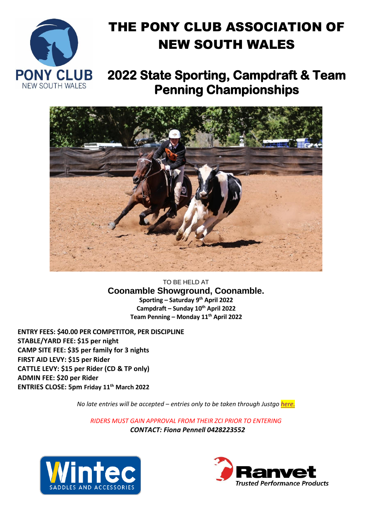

## THE PONY CLUB ASSOCIATION OF NEW SOUTH WALES

**2022 State Sporting, Campdraft & Team Penning Championships** 



TO BE HELD AT **Coonamble Showground, Coonamble. Sporting – Saturday 9 th April 2022 Campdraft – Sunday 10th April 2022 Team Penning – Monday 11th April 2022**

**ENTRY FEES: \$40.00 PER COMPETITOR, PER DISCIPLINE STABLE/YARD FEE: \$15 per night CAMP SITE FEE: \$35 per family for 3 nights FIRST AID LEVY: \$15 per Rider CATTLE LEVY: \$15 per Rider (CD & TP only) ADMIN FEE: \$20 per Rider ENTRIES CLOSE: 5pm Friday 11th March 2022**

*No late entries will be accepted – entries only to be taken through Justgo [here.](https://pca.justgo.com/workbench/public/events?ref=027DDF9AD02CE7C0465C6F90C6F6971954379302)*

*RIDERS MUST GAIN APPROVAL FROM THEIR ZCI PRIOR TO ENTERING CONTACT: Fiona Pennell 0428223552*



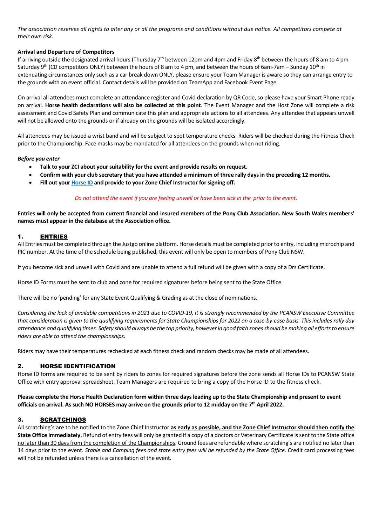*The association reserves all rights to alter any or all the programs and conditions without due notice. All competitors compete at their own risk.*

#### **Arrival and Departure of Competitors**

If arriving outside the designated arrival hours (Thursday 7<sup>th</sup> between 12pm and 4pm and Friday 8<sup>th</sup> between the hours of 8 am to 4 pm Saturday 9<sup>th</sup> (CD competitors ONLY) between the hours of 8 am to 4 pm, and between the hours of 6am-7am – Sunday 10<sup>th</sup> in extenuating circumstances only such as a car break down ONLY, please ensure your Team Manager is aware so they can arrange entry to the grounds with an event official. Contact details will be provided on TeamApp and Facebook Event Page.

On arrival all attendees must complete an attendance register and Covid declaration by QR Code, so please have your Smart Phone ready on arrival. **Horse health declarations will also be collected at this point**. The Event Manager and the Host Zone will complete a risk assessment and Covid Safety Plan and communicate this plan and appropriate actions to all attendees. Any attendee that appears unwell will not be allowed onto the grounds or if already on the grounds will be isolated accordingly.

All attendees may be issued a wrist band and will be subject to spot temperature checks. Riders will be checked during the Fitness Check prior to the Championship. Face masks may be mandated for all attendees on the grounds when not riding.

#### *Before you enter*

- **Talk to your ZCI about your suitability for the event and provide results on request.**
- **Confirm with your club secretary that you have attended a minimum of three rally days in the preceding 12 months.**
- **Fill out your Horse ID and provide to your Zone Chief Instructor for signing off.**

#### *Do not attend the event if you are feeling unwell or have been sick in the prior to the event.*

**Entries will only be accepted from current financial and insured members of the Pony Club Association. New South Wales members' names must appear in the database at the Association office.** 

#### 1. ENTRIES

All Entries must be completed through the Justgo online platform. Horse details must be completed prior to entry, including microchip and PIC number. At the time of the schedule being published, this event will only be open to members of Pony Club NSW.

If you become sick and unwell with Covid and are unable to attend a full refund will be given with a copy of a Drs Certificate.

Horse ID Forms must be sent to club and zone for required signatures before being sent to the State Office.

There will be no 'pending' for any State Event Qualifying & Grading as at the close of nominations.

*Considering the lack of available competitions in 2021 due to COVID-19, it is strongly recommended by the PCANSW Executive Committee that consideration is given to the qualifying requirements for State Championships for 2022 on a case-by-case basis. This includes rally day attendance and qualifying times. Safety should always be the top priority, however in good faith zones should be making all efforts to ensure riders are able to attend the championships.*

Riders may have their temperatures rechecked at each fitness check and random checks may be made of all attendees.

#### 2. HORSE IDENTIFICATION

Horse ID forms are required to be sent by riders to zones for required signatures before the zone sends all Horse IDs to PCANSW State Office with entry approval spreadsheet. Team Managers are required to bring a copy of the Horse ID to the fitness check.

**Please complete the Horse Health Declaration form within three days leading up to the State Championship and present to event officials on arrival. As such NO HORSES may arrive on the grounds prior to 12 midday on the 7 th April 2022.**

#### 3. SCRATCHINGS

All scratching's are to be notified to the Zone Chief Instructor **as early as possible, and the Zone Chief Instructor should then notify the State Office immediately.** Refund of entry fees will only be granted if a copy of a doctors or Veterinary Certificate is sent to the State office no later than 30 days from the completion of the Championships. Ground fees are refundable where scratching's are notified no later than 14 days prior to the event. *Stable and Camping fees and state entry fees will be refunded by the State Office.* Credit card processing fees will not be refunded unless there is a cancellation of the event.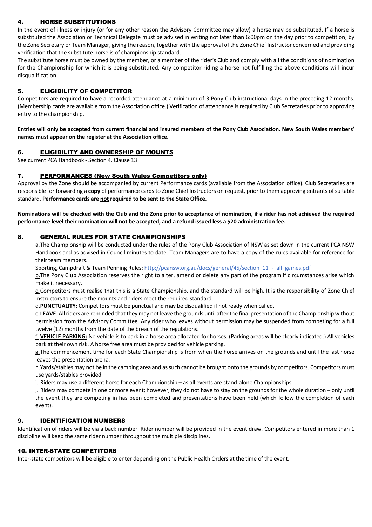#### 4. HORSE SUBSTITUTIONS

In the event of illness or injury (or for any other reason the Advisory Committee may allow) a horse may be substituted. If a horse is substituted the Association or Technical Delegate must be advised in writing not later than 6:00pm on the day prior to competition, by the Zone Secretary or Team Manager, giving the reason, together with the approval of the Zone Chief Instructor concerned and providing verification that the substitute horse is of championship standard.

The substitute horse must be owned by the member, or a member of the rider's Club and comply with all the conditions of nomination for the Championship for which it is being substituted. Any competitor riding a horse not fulfilling the above conditions will incur disqualification.

#### 5. ELIGIBILITY OF COMPETITOR

Competitors are required to have a recorded attendance at a minimum of 3 Pony Club instructional days in the preceding 12 months. (Membership cards are available from the Association office.) Verification of attendance is required by Club Secretaries prior to approving entry to the championship.

**Entries will only be accepted from current financial and insured members of the Pony Club Association. New South Wales members' names must appear on the register at the Association office.** 

#### 6. ELIGIBILITY AND OWNERSHIP OF MOUNTS

See current PCA Handbook - Section 4. Clause 13

#### 7. PERFORMANCES (New South Wales Competitors only)

Approval by the Zone should be accompanied by current Performance cards (available from the Association office). Club Secretaries are responsible for forwarding a **copy** of performance cards to Zone Chief Instructors on request, prior to them approving entrants of suitable standard. **Performance cards are not required to be sent to the State Office.**

**Nominations will be checked with the Club and the Zone prior to acceptance of nomination, if a rider has not achieved the required performance level their nomination will not be accepted, and a refund issued less a \$20 administration fee.**

#### 8. GENERAL RULES FOR STATE CHAMPIONSHIPS

a.The Championship will be conducted under the rules of the Pony Club Association of NSW as set down in the current PCA NSW Handbook and as advised in Council minutes to date. Team Managers are to have a copy of the rules available for reference for their team members.

Sporting, Campdraft & Team Penning Rules[: http://pcansw.org.au/docs/general/45/section\\_11\\_-\\_all\\_games.pdf](http://pcansw.org.au/docs/general/45/section_11_-_all_games.pdf)

b.The Pony Club Association reserves the right to alter, amend or delete any part of the program if circumstances arise which make it necessary.

c.Competitors must realise that this is a State Championship, and the standard will be high. It is the responsibility of Zone Chief Instructors to ensure the mounts and riders meet the required standard.

d.**PUNCTUALITY:** Competitors must be punctual and may be disqualified if not ready when called.

e.**LEAVE**: All riders are reminded that they may not leave the grounds until after the final presentation of the Championship without permission from the Advisory Committee. Any rider who leaves without permission may be suspended from competing for a full twelve (12) months from the date of the breach of the regulations.

f. **VEHICLE PARKING:** No vehicle is to park in a horse area allocated for horses. (Parking areas will be clearly indicated.) All vehicles park at their own risk. A horse free area must be provided for vehicle parking.

g. The commencement time for each State Championship is from when the horse arrives on the grounds and until the last horse leaves the presentation arena.

h.Yards/stables may not be in the camping area and as such cannot be brought onto the grounds by competitors. Competitors must use yards/stables provided.

i. Riders may use a different horse for each Championship – as all events are stand-alone Championships.

j. Riders may compete in one or more event; however, they do not have to stay on the grounds for the whole duration – only until the event they are competing in has been completed and presentations have been held (which follow the completion of each event).

#### 9. IDENTIFICATION NUMBERS

Identification of riders will be via a back number. Rider number will be provided in the event draw. Competitors entered in more than 1 discipline will keep the same rider number throughout the multiple disciplines.

#### 10. INTER-STATE COMPETITORS

Inter-state competitors will be eligible to enter depending on the Public Health Orders at the time of the event.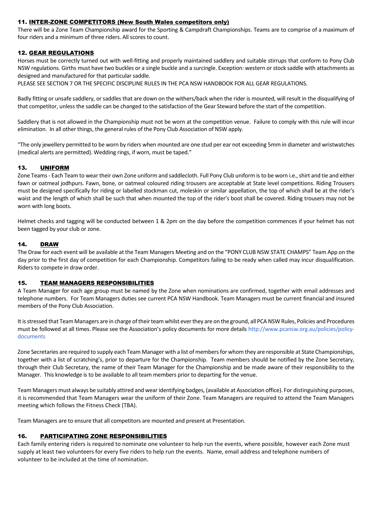#### 11. INTER-ZONE COMPETITORS (New South Wales competitors only)

There will be a Zone Team Championship award for the Sporting & Campdraft Championships. Teams are to comprise of a maximum of four riders and a minimum of three riders. All scores to count.

#### 12. GEAR REGULATIONS

Horses must be correctly turned out with well-fitting and properly maintained saddlery and suitable stirrups that conform to Pony Club NSW regulations. Girths must have two buckles or a single buckle and a surcingle. Exception: western or stock saddle with attachments as designed and manufactured for that particular saddle.

PLEASE SEE SECTION 7 OR THE SPECIFIC DISCIPLINE RULES IN THE PCA NSW HANDBOOK FOR ALL GEAR REGULATIONS.

Badly fitting or unsafe saddlery, or saddles that are down on the withers/back when the rider is mounted, will result in the disqualifying of that competitor, unless the saddle can be changed to the satisfaction of the Gear Steward before the start of the competition.

Saddlery that is not allowed in the Championship must not be worn at the competition venue. Failure to comply with this rule will incur elimination. In all other things, the general rules of the Pony Club Association of NSW apply.

"The only jewellery permitted to be worn by riders when mounted are one stud per ear not exceeding 5mm in diameter and wristwatches (medical alerts are permitted). Wedding rings, if worn, must be taped."

#### 13. UNIFORM

Zone Teams - Each Team to wear their own Zone uniform and saddlecloth. Full Pony Club uniform is to be worn i.e., shirt and tie and either fawn or oatmeal jodhpurs. Fawn, bone, or oatmeal coloured riding trousers are acceptable at State level competitions. Riding Trousers must be designed specifically for riding or labelled stockman cut, moleskin or similar appellation, the top of which shall be at the rider's waist and the length of which shall be such that when mounted the top of the rider's boot shall be covered. Riding trousers may not be worn with long boots.

Helmet checks and tagging will be conducted between 1 & 2pm on the day before the competition commences if your helmet has not been tagged by your club or zone.

#### 14. DRAW

The Draw for each event will be available at the Team Managers Meeting and on the "PONY CLUB NSW STATE CHAMPS" Team App on the day prior to the first day of competition for each Championship. Competitors failing to be ready when called may incur disqualification. Riders to compete in draw order.

#### 15. TEAM MANAGERS RESPONSIBILITIES

A Team Manager for each age group must be named by the Zone when nominations are confirmed, together with email addresses and telephone numbers. For Team Managers duties see current PCA NSW Handbook. Team Managers must be current financial and insured members of the Pony Club Association.

It is stressed that Team Managers are in charge of their team whilst ever they are on the ground, all PCA NSW Rules, Policies and Procedures must be followed at all times. Please see the Association's policy documents for more details [http://www.pcansw.org.au/policies/policy](http://www.pcansw.org.au/policies/policy-documents)[documents](http://www.pcansw.org.au/policies/policy-documents)

Zone Secretaries are required to supply each Team Manager with a list of members for whom they are responsible at State Championships, together with a list of scratching's, prior to departure for the Championship. Team members should be notified by the Zone Secretary, through their Club Secretary, the name of their Team Manager for the Championship and be made aware of their responsibility to the Manager. This knowledge is to be available to all team members prior to departing for the venue.

Team Managers must always be suitably attired and wear identifying badges, (available at Association office). For distinguishing purposes, it is recommended that Team Managers wear the uniform of their Zone. Team Managers are required to attend the Team Managers meeting which follows the Fitness Check (TBA).

Team Managers are to ensure that all competitors are mounted and present at Presentation.

#### 16. PARTICIPATING ZONE RESPONSIBILITIES

Each family entering riders is required to nominate one volunteer to help run the events, where possible, however each Zone must supply at least two volunteers for every five riders to help run the events. Name, email address and telephone numbers of volunteer to be included at the time of nomination.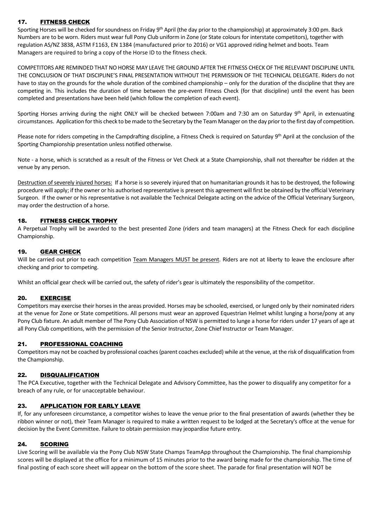#### 17. FITNESS CHECK

Sporting Horses will be checked for soundness on Friday 9<sup>th</sup> April (the day prior to the championship) at approximately 3:00 pm. Back Numbers are to be worn. Riders must wear full Pony Club uniform in Zone (or State colours for interstate competitors), together with regulation AS/NZ 3838, ASTM F1163, EN 1384 (manufactured prior to 2016) or VG1 approved riding helmet and boots. Team Managers are required to bring a copy of the Horse ID to the fitness check.

COMPETITORS ARE REMINDED THAT NO HORSE MAY LEAVE THE GROUND AFTER THE FITNESS CHECK OF THE RELEVANT DISCIPLINE UNTIL THE CONCLUSION OF THAT DISCIPLINE'S FINAL PRESENTATION WITHOUT THE PERMISSION OF THE TECHNICAL DELEGATE. Riders do not have to stay on the grounds for the whole duration of the combined championship – only for the duration of the discipline that they are competing in. This includes the duration of time between the pre-event Fitness Check (for that discipline) until the event has been completed and presentations have been held (which follow the completion of each event).

Sporting Horses arriving during the night ONLY will be checked between 7:00am and 7:30 am on Saturday 9<sup>th</sup> April, in extenuating circumstances. Application for this check to be made to the Secretary by the Team Manager on the day prior to the first day of competition.

Please note for riders competing in the Campdrafting discipline, a Fitness Check is required on Saturday 9<sup>th</sup> April at the conclusion of the Sporting Championship presentation unless notified otherwise.

Note - a horse, which is scratched as a result of the Fitness or Vet Check at a State Championship, shall not thereafter be ridden at the venue by any person.

Destruction of severely injured horses: If a horse is so severely injured that on humanitarian grounds it has to be destroyed, the following procedure will apply; if the owner or his authorised representative is present this agreement will first be obtained by the official Veterinary Surgeon. If the owner or his representative is not available the Technical Delegate acting on the advice of the Official Veterinary Surgeon, may order the destruction of a horse.

#### 18. FITNESS CHECK TROPHY

A Perpetual Trophy will be awarded to the best presented Zone (riders and team managers) at the Fitness Check for each discipline Championship.

#### 19. GEAR CHECK

Will be carried out prior to each competition Team Managers MUST be present. Riders are not at liberty to leave the enclosure after checking and prior to competing.

Whilst an official gear check will be carried out, the safety of rider's gear is ultimately the responsibility of the competitor.

#### 20. EXERCISE

Competitors may exercise their horses in the areas provided. Horses may be schooled, exercised, or lunged only by their nominated riders at the venue for Zone or State competitions. All persons must wear an approved Equestrian Helmet whilst lunging a horse/pony at any Pony Club fixture. An adult member of The Pony Club Association of NSW is permitted to lunge a horse for riders under 17 years of age at all Pony Club competitions, with the permission of the Senior Instructor, Zone Chief Instructor or Team Manager.

#### 21. PROFESSIONAL COACHING

Competitors may not be coached by professional coaches (parent coaches excluded) while at the venue, at the risk of disqualification from the Championship.

#### 22. DISQUALIFICATION

The PCA Executive, together with the Technical Delegate and Advisory Committee, has the power to disqualify any competitor for a breach of any rule, or for unacceptable behaviour.

#### 23. APPLICATION FOR EARLY LEAVE

If, for any unforeseen circumstance, a competitor wishes to leave the venue prior to the final presentation of awards (whether they be ribbon winner or not), their Team Manager is required to make a written request to be lodged at the Secretary's office at the venue for decision by the Event Committee. Failure to obtain permission may jeopardise future entry.

#### 24. SCORING

Live Scoring will be available via the Pony Club NSW State Champs TeamApp throughout the Championship. The final championship scores will be displayed at the office for a minimum of 15 minutes prior to the award being made for the championship. The time of final posting of each score sheet will appear on the bottom of the score sheet. The parade for final presentation will NOT be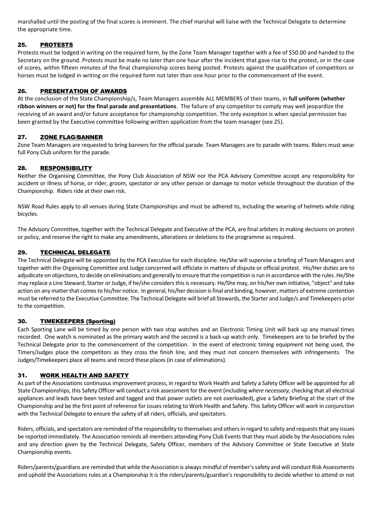marshalled until the posting of the final scores is imminent. The chief marshal will liaise with the Technical Delegate to determine the appropriate time.

#### 25. PROTESTS

Protests must be lodged in writing on the required form, by the Zone Team Manager together with a fee of \$50.00 and handed to the Secretary on the ground. Protests must be made no later than one hour after the incident that gave rise to the protest, or in the case of scores, within fifteen minutes of the final championship scores being posted. Protests against the qualification of competitors or horses must be lodged in writing on the required form not later than one hour prior to the commencement of the event.

#### 26. PRESENTATION OF AWARDS

At the conclusion of the State Championship/s, Team Managers assemble ALL MEMBERS of their teams, in **full uniform (whether ribbon winners or not) for the final parade and presentations**. The failure of any competitor to comply may well jeopardize the receiving of an award and/or future acceptance for championship competition. The only exception is when special permission has been granted by the Executive committee following written application from the team manager (see 25).

#### 27. ZONE FLAG/BANNER

Zone Team Managers are requested to bring banners for the official parade. Team Managers are to parade with teams. Riders must wear full Pony Club uniform for the parade.

#### 28. RESPONSIBILITY

Neither the Organising Committee, the Pony Club Association of NSW nor the PCA Advisory Committee accept any responsibility for accident or illness of horse, or rider, groom, spectator or any other person or damage to motor vehicle throughout the duration of the Championship. Riders ride at their own risk.

NSW Road Rules apply to all venues during State Championships and must be adhered to, including the wearing of helmets while riding bicycles.

The Advisory Committee, together with the Technical Delegate and Executive of the PCA, are final arbiters in making decisions on protest or policy, and reserve the right to make any amendments, alterations or deletions to the programme as required.

#### 29. TECHNICAL DELEGATE

The Technical Delegate will be appointed by the PCA Executive for each discipline. He/She will supervise a briefing of Team Managers and together with the Organising Committee and Judge concerned will officiate in matters of dispute or official protest. His/Her duties are to adjudicate on objections, to decide on eliminations and generally to ensure that the competition is run in accordance with the rules. He/She may replace a Line Steward, Starter or Judge, if he/she considers this is necessary. He/She may, on his/her own initiative, "object" and take action on any matter that comes to his/her notice. In general, his/her decision is final and binding, however, matters of extreme contention must be referred to the Executive Committee. The Technical Delegate will brief all Stewards, the Starter and Judge/s and Timekeepers prior to the competition.

#### 30. TIMEKEEPERS (Sporting)

Each Sporting Lane will be timed by one person with two stop watches and an Electronic Timing Unit will back up any manual times recorded. One watch is nominated as the primary watch and the second is a back-up watch only. Timekeepers are to be briefed by the Technical Delegate prior to the commencement of the competition. In the event of electronic timing equipment not being used, the Timers/Judges place the competitors as they cross the finish line, and they must not concern themselves with infringements. The Judges/Timekeepers place all teams and record these places (in case of eliminations).

#### 31. WORK HEALTH AND SAFETY

As part of the Associations continuous improvement process, in regard to Work Health and Safety a Safety Officer will be appointed for all State Championships, this Safety Officer will conduct a risk assessment for the event (including *where necessary,* checking that all electrical appliances and leads have been tested and tagged and that power outlets are not overloaded), give a Safety Briefing at the start of the Championship and be the first point of reference for issues relating to Work Health and Safety. This Safety Officer will work in conjunction with the Technical Delegate to ensure the safety of all riders, officials, and spectators.

Riders, officials, and spectators are reminded of the responsibility to themselves and others in regard to safety and requests that any issues be reported immediately. The Association reminds all members attending Pony Club Events that they must abide by the Associations rules and any direction given by the Technical Delegate, Safety Officer, members of the Advisory Committee or State Executive at State Championship events.

Riders/parents/guardians are reminded that while the Association is always mindful of member's safety and will conduct Risk Assessments and uphold the Associations rules at a Championship it is the riders/parents/guardian's responsibility to decide whether to attend or not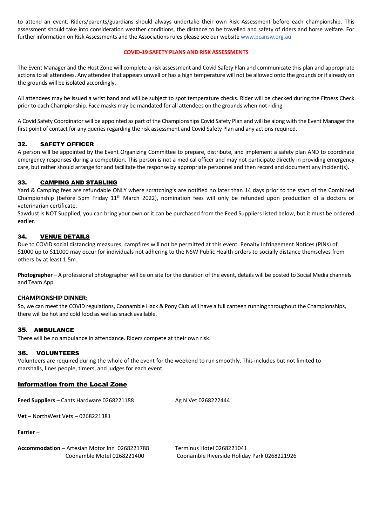to attend an event. Riders/parents/guardians should always undertake their own Risk Assessment before each championship. This assessment should take into consideration weather conditions, the distance to be travelled and safety of riders and horse welfare. For further information on Risk Assessments and the Associations rules please see our websit[e www.pcansw.org.au](http://www.pcansw.org.au/)

#### **COVID-19 SAFETY PLANS AND RISK ASSESSMENTS**

The Event Manager and the Host Zone will complete a risk assessment and Covid Safety Plan and communicate this plan and appropriate actions to all attendees. Any attendee that appears unwell or has a high temperature will not be allowed onto the grounds or if already on the grounds will be isolated accordingly.

All attendees may be issued a wrist band and will be subject to spot temperature checks. Rider will be checked during the Fitness Check prior to each Championship. Face masks may be mandated for all attendees on the grounds when not riding.

A Covid Safety Coordinator will be appointed as part of the Championships Covid Safety Plan and will be along with the Event Manager the first point of contact for any queries regarding the risk assessment and Covid Safety Plan and any actions required.

#### 32. SAFETY OFFICER

A person will be appointed by the Event Organizing Committee to prepare, distribute, and implement a safety plan AND to coordinate emergency responses during a competition. This person is not a medical officer and may not participate directly in providing emergency care, but rather should arrange for and facilitate the response by appropriate personnel and then record and document any incident(s).

#### 33. CAMPING AND STABLING

Yard & Camping fees are refundable ONLY where scratching's are notified no later than 14 days prior to the start of the Combined Championship (before 5pm Friday 11<sup>th</sup> March 2022), nomination fees will only be refunded upon production of a doctors or veterinarian certificate.

Sawdust is NOT Supplied, you can bring your own or it can be purchased from the Feed Suppliers listed below, but it must be ordered earlier.

#### 34. VENUE DETAILS

Due to COVID social distancing measures, campfires will not be permitted at this event. Penalty Infringement Notices (PINs) of \$1000 up to \$11000 may occur for individuals not adhering to the NSW Public Health orders to socially distance themselves from others by at least 1.5m.

**Photographer** – A professional photographer will be on site for the duration of the event, details will be posted to Social Media channels and Team App.

#### **CHAMPIONSHIP DINNER:**

So, we can meet the COVID regulations, Coonamble Hack & Pony Club will have a full canteen running throughout the Championships, there will be hot and cold food as well as snack available.

#### 35**.** AMBULANCE

There will be no ambulance in attendance. Riders compete at their own risk.

#### 36. VOLUNTEERS

Volunteers are required during the whole of the event for the weekend to run smoothly. This includes but not limited to marshalls, lines people, timers, and judges for each event.

#### **Information from the Local Zone**

**Feed Suppliers** – Cants Hardware 0268221188 Ag N Vet 0268222444

**Vet** – NorthWest Vets – 0268221381

**Farrier** –

**Accommodation** – Artesian Motor Inn 0268221788 Terminus Hotel 0268221041

Coonamble Motel 0268221400 Coonamble Riverside Holiday Park 0268221926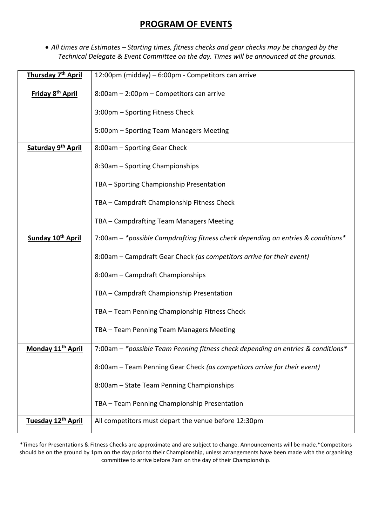## **PROGRAM OF EVENTS**

• *All times are Estimates – Starting times, fitness checks and gear checks may be changed by the Technical Delegate & Event Committee on the day. Times will be announced at the grounds.*

| Thursday 7 <sup>th</sup> April      | 12:00pm (midday) – 6:00pm - Competitors can arrive                               |
|-------------------------------------|----------------------------------------------------------------------------------|
| Friday 8 <sup>th</sup> April        | 8:00am - 2:00pm - Competitors can arrive                                         |
|                                     | 3:00pm - Sporting Fitness Check                                                  |
|                                     | 5:00pm - Sporting Team Managers Meeting                                          |
| Saturday 9th April                  | 8:00am - Sporting Gear Check                                                     |
|                                     | 8:30am - Sporting Championships                                                  |
|                                     | TBA - Sporting Championship Presentation                                         |
|                                     | TBA - Campdraft Championship Fitness Check                                       |
|                                     | TBA - Campdrafting Team Managers Meeting                                         |
| Sunday 10 <sup>th</sup> April       | 7:00am - *possible Campdrafting fitness check depending on entries & conditions* |
|                                     | 8:00am – Campdraft Gear Check (as competitors arrive for their event)            |
|                                     | 8:00am - Campdraft Championships                                                 |
|                                     | TBA - Campdraft Championship Presentation                                        |
|                                     | TBA - Team Penning Championship Fitness Check                                    |
|                                     | TBA - Team Penning Team Managers Meeting                                         |
| <b>Monday 11<sup>th</sup> April</b> | 7:00am - *possible Team Penning fitness check depending on entries & conditions  |
|                                     | 8:00am - Team Penning Gear Check (as competitors arrive for their event)         |
|                                     | 8:00am - State Team Penning Championships                                        |
|                                     | TBA - Team Penning Championship Presentation                                     |
| Tuesday 12 <sup>th</sup> April      | All competitors must depart the venue before 12:30pm                             |

\*Times for Presentations & Fitness Checks are approximate and are subject to change. Announcements will be made.\*Competitors should be on the ground by 1pm on the day prior to their Championship, unless arrangements have been made with the organising committee to arrive before 7am on the day of their Championship.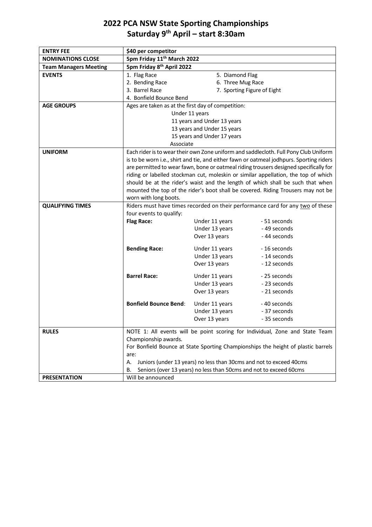## **2022 PCA NSW State Sporting Championships Saturday 9 th April – start 8:30am**

| <b>ENTRY FEE</b>             |                                                                                                      |                                      |                                                                                         |
|------------------------------|------------------------------------------------------------------------------------------------------|--------------------------------------|-----------------------------------------------------------------------------------------|
| <b>NOMINATIONS CLOSE</b>     | \$40 per competitor<br>5pm Friday 11 <sup>th</sup> March 2022                                        |                                      |                                                                                         |
| <b>Team Managers Meeting</b> | 5pm Friday 8 <sup>th</sup> April 2022                                                                |                                      |                                                                                         |
| <b>EVENTS</b>                | 1. Flag Race                                                                                         |                                      |                                                                                         |
|                              | 2. Bending Race                                                                                      | 5. Diamond Flag<br>6. Three Mug Race |                                                                                         |
|                              | 3. Barrel Race                                                                                       | 7. Sporting Figure of Eight          |                                                                                         |
|                              | 4. Bonfield Bounce Bend                                                                              |                                      |                                                                                         |
| <b>AGE GROUPS</b>            | Ages are taken as at the first day of competition:                                                   |                                      |                                                                                         |
|                              |                                                                                                      | Under 11 years                       |                                                                                         |
|                              |                                                                                                      | 11 years and Under 13 years          |                                                                                         |
|                              |                                                                                                      | 13 years and Under 15 years          |                                                                                         |
|                              |                                                                                                      | 15 years and Under 17 years          |                                                                                         |
|                              | Associate                                                                                            |                                      |                                                                                         |
| <b>UNIFORM</b>               | Each rider is to wear their own Zone uniform and saddlecloth. Full Pony Club Uniform                 |                                      |                                                                                         |
|                              |                                                                                                      |                                      | is to be worn i.e., shirt and tie, and either fawn or oatmeal jodhpurs. Sporting riders |
|                              |                                                                                                      |                                      | are permitted to wear fawn, bone or oatmeal riding trousers designed specifically for   |
|                              |                                                                                                      |                                      | riding or labelled stockman cut, moleskin or similar appellation, the top of which      |
|                              |                                                                                                      |                                      | should be at the rider's waist and the length of which shall be such that when          |
|                              |                                                                                                      |                                      | mounted the top of the rider's boot shall be covered. Riding Trousers may not be        |
|                              | worn with long boots.                                                                                |                                      |                                                                                         |
| <b>QUALIFYING TIMES</b>      |                                                                                                      |                                      | Riders must have times recorded on their performance card for any two of these          |
|                              | four events to qualify:                                                                              |                                      |                                                                                         |
|                              | <b>Flag Race:</b>                                                                                    | Under 11 years                       | - 51 seconds                                                                            |
|                              |                                                                                                      | Under 13 years                       | - 49 seconds                                                                            |
|                              |                                                                                                      | Over 13 years                        | -44 seconds                                                                             |
|                              | <b>Bending Race:</b>                                                                                 | Under 11 years                       | - 16 seconds                                                                            |
|                              |                                                                                                      | Under 13 years                       | - 14 seconds                                                                            |
|                              |                                                                                                      | Over 13 years                        | - 12 seconds                                                                            |
|                              | <b>Barrel Race:</b>                                                                                  | Under 11 years                       | - 25 seconds                                                                            |
|                              |                                                                                                      | Under 13 years                       | -23 seconds                                                                             |
|                              |                                                                                                      | Over 13 years                        | - 21 seconds                                                                            |
|                              |                                                                                                      |                                      |                                                                                         |
|                              | <b>Bonfield Bounce Bend:</b>                                                                         | Under 11 years                       | -40 seconds                                                                             |
|                              |                                                                                                      | Under 13 years                       | - 37 seconds                                                                            |
|                              |                                                                                                      | Over 13 years                        | - 35 seconds                                                                            |
| <b>RULES</b>                 |                                                                                                      |                                      |                                                                                         |
|                              | NOTE 1: All events will be point scoring for Individual, Zone and State Team<br>Championship awards. |                                      |                                                                                         |
|                              | For Bonfield Bounce at State Sporting Championships the height of plastic barrels                    |                                      |                                                                                         |
|                              | are:                                                                                                 |                                      |                                                                                         |
|                              | Juniors (under 13 years) no less than 30cms and not to exceed 40cms<br>А.                            |                                      |                                                                                         |
|                              | Seniors (over 13 years) no less than 50cms and not to exceed 60cms<br>В.                             |                                      |                                                                                         |
| <b>PRESENTATION</b>          | Will be announced                                                                                    |                                      |                                                                                         |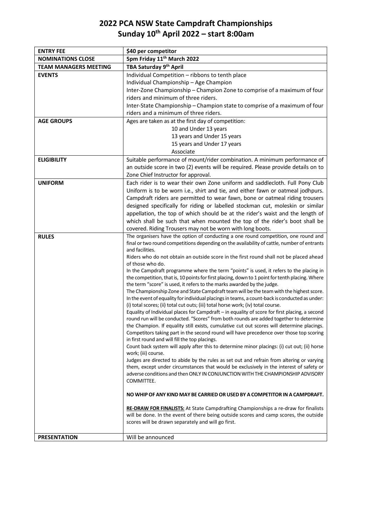## **2022 PCA NSW State Campdraft Championships Sunday 10th April 2022 – start 8:00am**

| <b>ENTRY FEE</b>             | \$40 per competitor                                                                                                                                                                       |  |  |
|------------------------------|-------------------------------------------------------------------------------------------------------------------------------------------------------------------------------------------|--|--|
| <b>NOMINATIONS CLOSE</b>     | 5pm Friday 11 <sup>th</sup> March 2022                                                                                                                                                    |  |  |
| <b>TEAM MANAGERS MEETING</b> | TBA Saturday 9 <sup>th</sup> April                                                                                                                                                        |  |  |
| <b>EVENTS</b>                | Individual Competition - ribbons to tenth place                                                                                                                                           |  |  |
|                              | Individual Championship - Age Champion                                                                                                                                                    |  |  |
|                              | Inter-Zone Championship - Champion Zone to comprise of a maximum of four                                                                                                                  |  |  |
|                              | riders and minimum of three riders.                                                                                                                                                       |  |  |
|                              | Inter-State Championship - Champion state to comprise of a maximum of four                                                                                                                |  |  |
|                              | riders and a minimum of three riders.                                                                                                                                                     |  |  |
| <b>AGE GROUPS</b>            | Ages are taken as at the first day of competition:                                                                                                                                        |  |  |
|                              | 10 and Under 13 years                                                                                                                                                                     |  |  |
|                              | 13 years and Under 15 years                                                                                                                                                               |  |  |
|                              | 15 years and Under 17 years                                                                                                                                                               |  |  |
|                              | Associate                                                                                                                                                                                 |  |  |
| <b>ELIGIBILITY</b>           | Suitable performance of mount/rider combination. A minimum performance of                                                                                                                 |  |  |
|                              | an outside score in two (2) events will be required. Please provide details on to                                                                                                         |  |  |
|                              | Zone Chief Instructor for approval.                                                                                                                                                       |  |  |
| <b>UNIFORM</b>               | Each rider is to wear their own Zone uniform and saddlecloth. Full Pony Club                                                                                                              |  |  |
|                              | Uniform is to be worn i.e., shirt and tie, and either fawn or oatmeal jodhpurs.                                                                                                           |  |  |
|                              | Campdraft riders are permitted to wear fawn, bone or oatmeal riding trousers                                                                                                              |  |  |
|                              | designed specifically for riding or labelled stockman cut, moleskin or similar                                                                                                            |  |  |
|                              | appellation, the top of which should be at the rider's waist and the length of                                                                                                            |  |  |
|                              | which shall be such that when mounted the top of the rider's boot shall be                                                                                                                |  |  |
|                              | covered. Riding Trousers may not be worn with long boots.                                                                                                                                 |  |  |
| <b>RULES</b>                 | The organisers have the option of conducting a one round competition, one round and                                                                                                       |  |  |
|                              | final or two round competitions depending on the availability of cattle, number of entrants<br>and facilities.                                                                            |  |  |
|                              | Riders who do not obtain an outside score in the first round shall not be placed ahead                                                                                                    |  |  |
|                              | of those who do.                                                                                                                                                                          |  |  |
|                              | In the Campdraft programme where the term "points" is used, it refers to the placing in                                                                                                   |  |  |
|                              | the competition, that is, 10 points for first placing, down to 1 point for tenth placing. Where                                                                                           |  |  |
|                              | the term "score" is used, it refers to the marks awarded by the judge.                                                                                                                    |  |  |
|                              | The Championship Zone and State Campdraft team will be the team with the highest score.<br>In the event of equality for individual placings in teams, a count-back is conducted as under: |  |  |
|                              | (i) total scores; (ii) total cut outs; (iii) total horse work; (iv) total course.                                                                                                         |  |  |
|                              | Equality of Individual places for Campdraft - in equality of score for first placing, a second                                                                                            |  |  |
|                              | round run will be conducted. "Scores" from both rounds are added together to determine                                                                                                    |  |  |
|                              | the Champion. If equality still exists, cumulative cut out scores will determine placings.                                                                                                |  |  |
|                              | Competitors taking part in the second round will have precedence over those top scoring                                                                                                   |  |  |
|                              | in first round and will fill the top placings.                                                                                                                                            |  |  |
|                              | Count back system will apply after this to determine minor placings: (i) cut out; (ii) horse<br>work; (iii) course.                                                                       |  |  |
|                              | Judges are directed to abide by the rules as set out and refrain from altering or varying                                                                                                 |  |  |
|                              | them, except under circumstances that would be exclusively in the interest of safety or                                                                                                   |  |  |
|                              | adverse conditions and then ONLY IN CONJUNCTION WITH THE CHAMPIONSHIP ADVISORY                                                                                                            |  |  |
|                              | COMMITTEE.                                                                                                                                                                                |  |  |
|                              |                                                                                                                                                                                           |  |  |
|                              | NO WHIP OF ANY KIND MAY BE CARRIED OR USED BY A COMPETITOR IN A CAMPDRAFT.                                                                                                                |  |  |
|                              | RE-DRAW FOR FINALISTS: At State Campdrafting Championships a re-draw for finalists                                                                                                        |  |  |
|                              | will be done. In the event of there being outside scores and camp scores, the outside                                                                                                     |  |  |
|                              | scores will be drawn separately and will go first.                                                                                                                                        |  |  |
|                              |                                                                                                                                                                                           |  |  |
| <b>PRESENTATION</b>          | Will be announced                                                                                                                                                                         |  |  |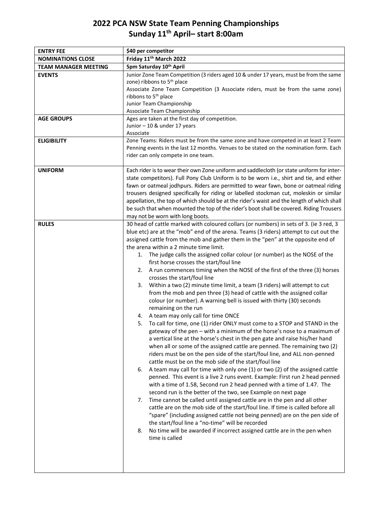## **2022 PCA NSW State Team Penning Championships Sunday 11 th April– start 8:00am**

| <b>ENTRY FEE</b>            | \$40 per competitor                                                                                                                                                                                                                                                                                                                                                                                                                                                                                                                                                                                                                                                                                                                                                                                                                                                                                                                                                                                                                                                                                                                                                                                                                                                                                                                                                                                                                                                                                                                                                                                                                                                                                                                                                                                                                                                                                                                                                                                                                                     |  |  |
|-----------------------------|---------------------------------------------------------------------------------------------------------------------------------------------------------------------------------------------------------------------------------------------------------------------------------------------------------------------------------------------------------------------------------------------------------------------------------------------------------------------------------------------------------------------------------------------------------------------------------------------------------------------------------------------------------------------------------------------------------------------------------------------------------------------------------------------------------------------------------------------------------------------------------------------------------------------------------------------------------------------------------------------------------------------------------------------------------------------------------------------------------------------------------------------------------------------------------------------------------------------------------------------------------------------------------------------------------------------------------------------------------------------------------------------------------------------------------------------------------------------------------------------------------------------------------------------------------------------------------------------------------------------------------------------------------------------------------------------------------------------------------------------------------------------------------------------------------------------------------------------------------------------------------------------------------------------------------------------------------------------------------------------------------------------------------------------------------|--|--|
| <b>NOMINATIONS CLOSE</b>    | Friday 11 <sup>th</sup> March 2022                                                                                                                                                                                                                                                                                                                                                                                                                                                                                                                                                                                                                                                                                                                                                                                                                                                                                                                                                                                                                                                                                                                                                                                                                                                                                                                                                                                                                                                                                                                                                                                                                                                                                                                                                                                                                                                                                                                                                                                                                      |  |  |
| <b>TEAM MANAGER MEETING</b> | 5pm Saturday 10th April                                                                                                                                                                                                                                                                                                                                                                                                                                                                                                                                                                                                                                                                                                                                                                                                                                                                                                                                                                                                                                                                                                                                                                                                                                                                                                                                                                                                                                                                                                                                                                                                                                                                                                                                                                                                                                                                                                                                                                                                                                 |  |  |
| <b>EVENTS</b>               | Junior Zone Team Competition (3 riders aged 10 & under 17 years, must be from the same<br>zone) ribbons to 5 <sup>th</sup> place<br>Associate Zone Team Competition (3 Associate riders, must be from the same zone)                                                                                                                                                                                                                                                                                                                                                                                                                                                                                                                                                                                                                                                                                                                                                                                                                                                                                                                                                                                                                                                                                                                                                                                                                                                                                                                                                                                                                                                                                                                                                                                                                                                                                                                                                                                                                                    |  |  |
|                             | ribbons to 5 <sup>th</sup> place<br>Junior Team Championship<br>Associate Team Championship                                                                                                                                                                                                                                                                                                                                                                                                                                                                                                                                                                                                                                                                                                                                                                                                                                                                                                                                                                                                                                                                                                                                                                                                                                                                                                                                                                                                                                                                                                                                                                                                                                                                                                                                                                                                                                                                                                                                                             |  |  |
| <b>AGE GROUPS</b>           | Ages are taken at the first day of competition.<br>Junior - 10 & under 17 years<br>Associate                                                                                                                                                                                                                                                                                                                                                                                                                                                                                                                                                                                                                                                                                                                                                                                                                                                                                                                                                                                                                                                                                                                                                                                                                                                                                                                                                                                                                                                                                                                                                                                                                                                                                                                                                                                                                                                                                                                                                            |  |  |
| <b>ELIGIBILITY</b>          | Zone Teams: Riders must be from the same zone and have competed in at least 2 Team<br>Penning events in the last 12 months. Venues to be stated on the nomination form. Each<br>rider can only compete in one team.                                                                                                                                                                                                                                                                                                                                                                                                                                                                                                                                                                                                                                                                                                                                                                                                                                                                                                                                                                                                                                                                                                                                                                                                                                                                                                                                                                                                                                                                                                                                                                                                                                                                                                                                                                                                                                     |  |  |
| <b>UNIFORM</b>              | Each rider is to wear their own Zone uniform and saddlecloth (or state uniform for inter-<br>state competitors). Full Pony Club Uniform is to be worn i.e., shirt and tie, and either<br>fawn or oatmeal jodhpurs. Riders are permitted to wear fawn, bone or oatmeal riding<br>trousers designed specifically for riding or labelled stockman cut, moleskin or similar<br>appellation, the top of which should be at the rider's waist and the length of which shall<br>be such that when mounted the top of the rider's boot shall be covered. Riding Trousers<br>may not be worn with long boots.                                                                                                                                                                                                                                                                                                                                                                                                                                                                                                                                                                                                                                                                                                                                                                                                                                                                                                                                                                                                                                                                                                                                                                                                                                                                                                                                                                                                                                                    |  |  |
| <b>RULES</b>                | 30 head of cattle marked with coloured collars (or numbers) in sets of 3. (ie 3 red, 3<br>blue etc) are at the "mob" end of the arena. Teams (3 riders) attempt to cut out the<br>assigned cattle from the mob and gather them in the "pen" at the opposite end of<br>the arena within a 2 minute time limit.<br>1. The judge calls the assigned collar colour (or number) as the NOSE of the<br>first horse crosses the start/foul line<br>2. A run commences timing when the NOSE of the first of the three (3) horses<br>crosses the start/foul line<br>3. Within a two (2) minute time limit, a team (3 riders) will attempt to cut<br>from the mob and pen three (3) head of cattle with the assigned collar<br>colour (or number). A warning bell is issued with thirty (30) seconds<br>remaining on the run<br>4. A team may only call for time ONCE<br>5.<br>To call for time, one (1) rider ONLY must come to a STOP and STAND in the<br>gateway of the pen – with a minimum of the horse's nose to a maximum of<br>a vertical line at the horse's chest in the pen gate and raise his/her hand<br>when all or some of the assigned cattle are penned. The remaining two (2)<br>riders must be on the pen side of the start/foul line, and ALL non-penned<br>cattle must be on the mob side of the start/foul line<br>A team may call for time with only one (1) or two (2) of the assigned cattle<br>6.<br>penned. This event is a live 2 runs event. Example: First run 2 head penned<br>with a time of 1.58, Second run 2 head penned with a time of 1.47. The<br>second run is the better of the two, see Example on next page<br>Time cannot be called until assigned cattle are in the pen and all other<br>7.<br>cattle are on the mob side of the start/foul line. If time is called before all<br>"spare" (including assigned cattle not being penned) are on the pen side of<br>the start/foul line a "no-time" will be recorded<br>No time will be awarded if incorrect assigned cattle are in the pen when<br>8.<br>time is called |  |  |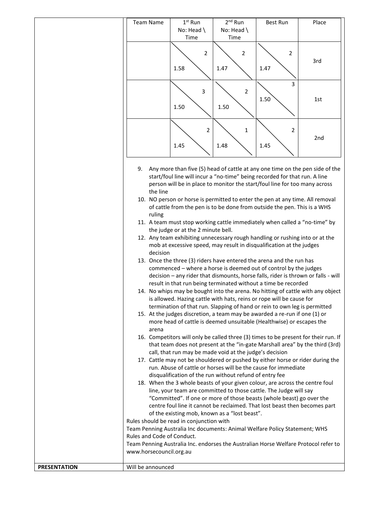|                     | <b>Team Name</b>                                                                    | $1st$ Run                          | $2^{nd}$ Run                                                                      | <b>Best Run</b> | Place                                                                               |
|---------------------|-------------------------------------------------------------------------------------|------------------------------------|-----------------------------------------------------------------------------------|-----------------|-------------------------------------------------------------------------------------|
|                     |                                                                                     | No: Head                           | No: Head \                                                                        |                 |                                                                                     |
|                     |                                                                                     | Time                               | Time                                                                              |                 |                                                                                     |
|                     |                                                                                     |                                    |                                                                                   |                 |                                                                                     |
|                     |                                                                                     | $\overline{2}$                     | $\overline{2}$                                                                    | $\overline{2}$  |                                                                                     |
|                     |                                                                                     |                                    |                                                                                   |                 | 3rd                                                                                 |
|                     |                                                                                     | 1.58                               | 1.47                                                                              | 1.47            |                                                                                     |
|                     |                                                                                     |                                    |                                                                                   |                 |                                                                                     |
|                     |                                                                                     |                                    |                                                                                   | 3               |                                                                                     |
|                     |                                                                                     | 3                                  | $\overline{2}$                                                                    |                 |                                                                                     |
|                     |                                                                                     |                                    |                                                                                   | 1.50            | 1st                                                                                 |
|                     |                                                                                     | 1.50                               | 1.50                                                                              |                 |                                                                                     |
|                     |                                                                                     |                                    |                                                                                   |                 |                                                                                     |
|                     |                                                                                     |                                    |                                                                                   |                 |                                                                                     |
|                     |                                                                                     | $\overline{2}$                     | $\mathbf{1}$                                                                      | 2               |                                                                                     |
|                     |                                                                                     |                                    |                                                                                   |                 | 2nd                                                                                 |
|                     |                                                                                     | 1.45                               | 1.48                                                                              | 1.45            |                                                                                     |
|                     |                                                                                     |                                    |                                                                                   |                 |                                                                                     |
|                     |                                                                                     |                                    |                                                                                   |                 |                                                                                     |
|                     | 9.                                                                                  |                                    |                                                                                   |                 | Any more than five (5) head of cattle at any one time on the pen side of the        |
|                     |                                                                                     |                                    | start/foul line will incur a "no-time" being recorded for that run. A line        |                 |                                                                                     |
|                     |                                                                                     |                                    | person will be in place to monitor the start/foul line for too many across        |                 |                                                                                     |
|                     | the line                                                                            |                                    |                                                                                   |                 |                                                                                     |
|                     |                                                                                     |                                    | 10. NO person or horse is permitted to enter the pen at any time. All removal     |                 |                                                                                     |
|                     |                                                                                     |                                    | of cattle from the pen is to be done from outside the pen. This is a WHS          |                 |                                                                                     |
|                     | ruling                                                                              |                                    |                                                                                   |                 |                                                                                     |
|                     |                                                                                     |                                    | 11. A team must stop working cattle immediately when called a "no-time" by        |                 |                                                                                     |
|                     |                                                                                     | the judge or at the 2 minute bell. |                                                                                   |                 |                                                                                     |
|                     |                                                                                     |                                    | 12. Any team exhibiting unnecessary rough handling or rushing into or at the      |                 |                                                                                     |
|                     |                                                                                     |                                    | mob at excessive speed, may result in disqualification at the judges              |                 |                                                                                     |
|                     | decision                                                                            |                                    |                                                                                   |                 |                                                                                     |
|                     |                                                                                     |                                    | 13. Once the three (3) riders have entered the arena and the run has              |                 |                                                                                     |
|                     |                                                                                     |                                    | commenced - where a horse is deemed out of control by the judges                  |                 |                                                                                     |
|                     |                                                                                     |                                    | decision - any rider that dismounts, horse falls, rider is thrown or falls - will |                 |                                                                                     |
|                     |                                                                                     |                                    | result in that run being terminated without a time be recorded                    |                 |                                                                                     |
|                     |                                                                                     |                                    |                                                                                   |                 | 14. No whips may be bought into the arena. No hitting of cattle with any object     |
|                     |                                                                                     |                                    | is allowed. Hazing cattle with hats, reins or rope will be cause for              |                 |                                                                                     |
|                     |                                                                                     |                                    | termination of that run. Slapping of hand or rein to own leg is permitted         |                 |                                                                                     |
|                     |                                                                                     |                                    | 15. At the judges discretion, a team may be awarded a re-run if one (1) or        |                 |                                                                                     |
|                     |                                                                                     |                                    | more head of cattle is deemed unsuitable (Healthwise) or escapes the              |                 |                                                                                     |
|                     | arena                                                                               |                                    |                                                                                   |                 |                                                                                     |
|                     |                                                                                     |                                    |                                                                                   |                 | 16. Competitors will only be called three (3) times to be present for their run. If |
|                     |                                                                                     |                                    |                                                                                   |                 | that team does not present at the "in-gate Marshall area" by the third (3rd)        |
|                     |                                                                                     |                                    | call, that run may be made void at the judge's decision                           |                 |                                                                                     |
|                     |                                                                                     |                                    | 17. Cattle may not be shouldered or pushed by either horse or rider during the    |                 |                                                                                     |
|                     |                                                                                     |                                    | run. Abuse of cattle or horses will be the cause for immediate                    |                 |                                                                                     |
|                     |                                                                                     |                                    | disqualification of the run without refund of entry fee                           |                 |                                                                                     |
|                     |                                                                                     |                                    | 18. When the 3 whole beasts of your given colour, are across the centre foul      |                 |                                                                                     |
|                     |                                                                                     |                                    | line, your team are committed to those cattle. The Judge will say                 |                 |                                                                                     |
|                     |                                                                                     |                                    | "Committed". If one or more of those beasts (whole beast) go over the             |                 |                                                                                     |
|                     |                                                                                     |                                    | centre foul line it cannot be reclaimed. That lost beast then becomes part        |                 |                                                                                     |
|                     |                                                                                     |                                    | of the existing mob, known as a "lost beast".                                     |                 |                                                                                     |
|                     | Rules should be read in conjunction with                                            |                                    |                                                                                   |                 |                                                                                     |
|                     | Team Penning Australia Inc documents: Animal Welfare Policy Statement; WHS          |                                    |                                                                                   |                 |                                                                                     |
|                     | Rules and Code of Conduct.                                                          |                                    |                                                                                   |                 |                                                                                     |
|                     | Team Penning Australia Inc. endorses the Australian Horse Welfare Protocol refer to |                                    |                                                                                   |                 |                                                                                     |
|                     | www.horsecouncil.org.au                                                             |                                    |                                                                                   |                 |                                                                                     |
|                     |                                                                                     |                                    |                                                                                   |                 |                                                                                     |
| <b>PRESENTATION</b> | Will be announced                                                                   |                                    |                                                                                   |                 |                                                                                     |